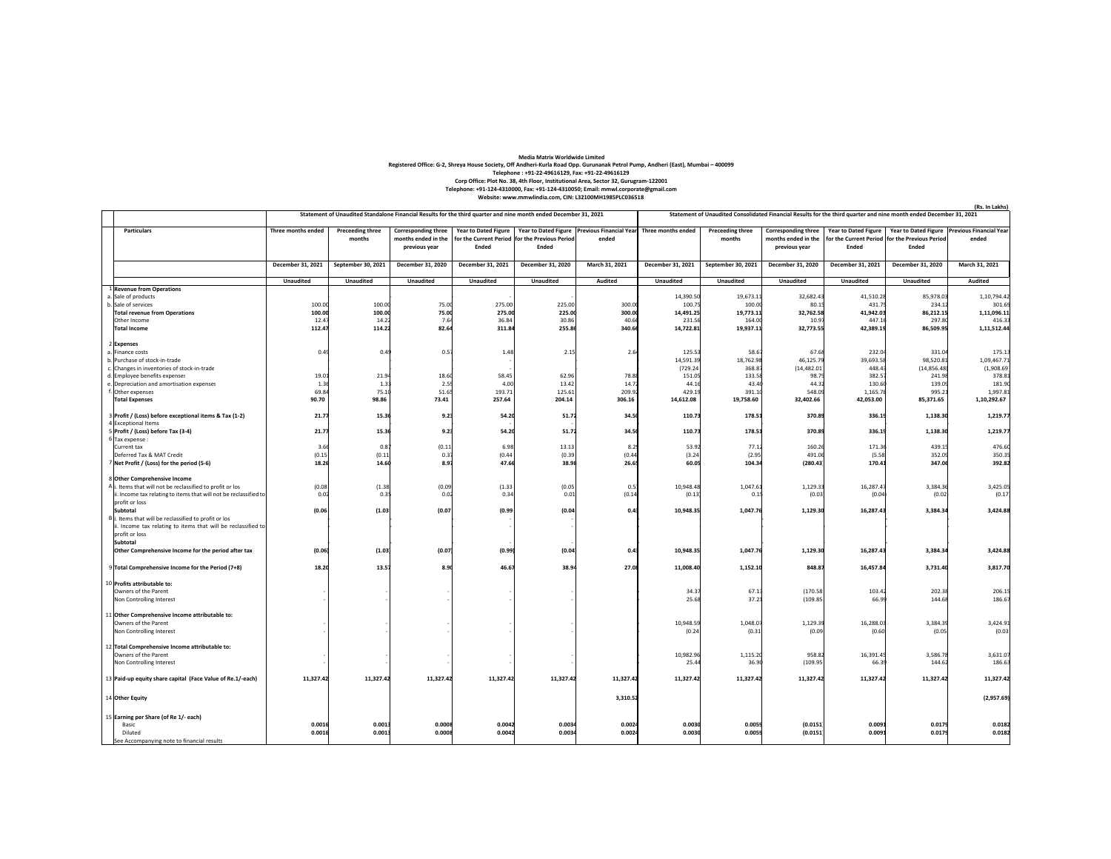## **Media Matrix Worldwide Limited**Registered Office: G-2, Shreya House Society, Off Andheri-Kurla Road Opp. Gurunanak Petrol Pump, Andheri (East), Mumbai – 400099<br>Telephone: +91-22-49616129, Fax: +91-22-49616129<br>Corp Office: Plot No. 38, 4th Floor, Institu

| Year to Dated Figure   Year to Dated Figure   Previous Financial Year Three months ended<br>Year to Dated Figure<br>Year to Dated Figure Previous Financial Year<br><b>Particulars</b><br>Three months ended<br><b>Preceeding three</b><br><b>Corresponding three</b><br><b>Preceeding three</b><br><b>Corresponding three</b><br>months<br>months ended in the<br>for the Current Period for the Previous Period<br>ended<br>months<br>months ended in the<br>for the Current Period for the Previous Period<br>ended<br>Ended<br>Ended<br>Ended<br>Ended<br>previous year<br>previous year<br>December 31, 2021<br>September 30, 2021<br>December 31, 2021<br>December 31, 2020<br>March 31, 2021<br>December 31, 2021<br>September 30, 2021<br>December 31, 2020<br>December 31, 2021<br>December 31, 2020<br>March 31, 2021<br>December 31, 2020<br><b>Unaudited</b><br><b>Unaudited</b><br><b>Unaudited</b><br><b>Unaudited</b><br>Unaudited<br><b>Audited</b><br><b>Unaudited</b><br>Unaudited<br><b>Unaudited</b><br>Unaudited<br>Unaudited<br>Audited<br>1 Revenue from Operations<br>a. Sale of products<br>14,390.50<br>19,673.1<br>32,682.4<br>41,510.28<br>85,978.03<br>1,10,794.42<br>100.00<br>100.00<br>275.00<br>225.00<br>100.75<br>100.0<br>80.1<br>431.7<br>234.12<br>301.69<br>b. Sale of services<br>75.00<br>300.0<br>1,11,096.11<br>100.00<br>100.00<br>75.00<br>275.00<br>225.00<br>300.00<br>14,491.25<br>19,773.11<br>32,762.58<br>41,942.03<br>86,212.15<br><b>Total revenue from Operations</b><br>7.6<br>36.84<br>30.86<br>40.6<br>164.0<br>447.1<br>297.80<br>Other Income<br>12.47<br>14.22<br>231.56<br>10.9<br>416.33<br>114.22<br>82.64<br>255.86<br>112.47<br>311.84<br>340.66<br>14,722.81<br>19,937.11<br>32,773.55<br>42,389.19<br>86,509.95<br>1,11,512.44<br><b>Total Income</b><br>2 Expenses<br>2.64<br>125.5<br>58.6<br>67.68<br>232.0<br>331.04<br>175.13<br>a. Finance costs<br>0.4<br>0.49<br>$0.5^{\circ}$<br>1.48<br>2.15<br>14,591.39<br>18,762.9<br>46,125.7<br>39,693.5<br>98,520.81<br>1,09,467.71<br>b. Purchase of stock-in-trade<br>(1,908.69)<br>(729.24)<br>368.8<br>(14, 482.01)<br>448.4<br>(14, 856.48)<br>c. Changes in inventories of stock-in-trade<br>d. Employee benefits expenses<br>19.01<br>21.94<br>18.6<br>58.45<br>62.96<br>78.8<br>151.05<br>133.5<br>98.7<br>382.5<br>241.98<br>378.83<br>1.36<br>1.33<br>2.5<br>4.00<br>13.42<br>14.7<br>44.1<br>43.4<br>44.3<br>130.6<br>139.09<br>181.90<br>e. Depreciation and amortisation expenses<br>69.84<br>51.6<br>193.71<br>209.9<br>f. Other expenses<br>75.10<br>125.61<br>429.19<br>391.1<br>548.0<br>1,165.7<br>995.21<br>1,997.81<br>90.70<br>98.86<br>73.41<br>257.64<br>204.14<br>306.16<br>19,758.60<br>32,402.66<br>42,053.00<br>85,371.65<br>1,10,292.67<br><b>Total Expenses</b><br>14,612.08<br>3 Profit / (Loss) before exceptional items & Tax (1-2)<br>21.77<br>15.36<br>9.23<br>54.20<br>51.72<br>34.50<br>110.73<br>178.51<br>370.89<br>336.19<br>1,138.30<br>1,219.77<br>4 Exceptional Items<br>1,219.77<br>21.77<br>54.20<br>51.72<br>34.50<br>110.73<br>178.51<br>370.89<br>336.19<br>1,138.30<br>5 Profit / (Loss) before Tax (3-4)<br>15.36<br>9.23<br>6 Tax expense :<br>77.1<br>171.36<br>439.15<br>476.60<br>3.66<br>(0.11)<br>6.98<br>13.13<br>8.29<br>53.92<br>160.26<br>Current tax<br>0.8<br>(0.44)<br>Deferred Tax & MAT Credit<br>(0.15)<br>(0.11)<br>0.3<br>(0.44)<br>(0.39)<br>(3.24)<br>(2.95)<br>491.0<br>(5.58)<br>352.09<br>350.35<br>7 Net Profit / (Loss) for the period (5-6)<br>18.26<br>14.60<br>8.97<br>47.66<br>38.98<br>26.6<br>60.05<br>104.3<br>(280.43)<br>170.41<br>347.06<br>392.82<br>8 Other Comprehensive Income<br>(0.08)<br>(0.09)<br>10,948.48<br>1,047.61<br>1,129.3<br>16,287.47<br>3,384.36<br>3,425.05<br>A i. Items that will not be reclassified to profit or los<br>(1.38)<br>(1.33)<br>(0.05)<br>0.5<br>ii. Income tax relating to items that will not be reclassified to<br>0.02<br>0.35<br>0.02<br>0.34<br>0.01<br>(0.14)<br>(0.13)<br>0.15<br>(0.03)<br>(0.04)<br>(0.02)<br>(0.17)<br>profit or loss<br>(0.06)<br>Subtotal<br>(1.03)<br>(0.07)<br>(0.99)<br>(0.04)<br>0.43<br>10,948.35<br>1,047.76<br>1,129.30<br>16,287.43<br>3,384.34<br>3,424.88<br>B i. Items that will be reclassified to profit or los<br>ii. Income tax relating to items that will be reclassified to<br>profit or loss<br>Subtotal<br>3,384.34<br>Other Comprehensive Income for the period after tax<br>(0.06)<br>(1.03)<br>(0.07)<br>(0.99<br>(0.04)<br>0.43<br>10,948.35<br>1,047.76<br>1,129.30<br>16,287.43<br>3,424.88<br>18.20<br>1,152.10<br>16,457.84<br>3,817.70<br>9 Total Comprehensive Income for the Period (7+8)<br>13.57<br>8.90<br>46.67<br>38.94<br>27.08<br>11,008.40<br>848.87<br>3,731.40<br>10 Profits attributable to:<br>67.1<br>(170.58)<br>103.42<br>202.38<br>206.1<br>Owners of the Parent<br>34.37<br>37.2<br>186.6<br>25.68<br>(109.85)<br>66.9<br>144.68<br>Non Controlling Interest<br>11 Other Comprehensive Income attributable to:<br>10,948.59<br>1,048.0<br>1,129.3<br>16,288.03<br>3,384.39<br>3,424.91<br>Owners of the Parent<br>(0.24)<br>(0.31)<br>(0.09)<br>(0.60)<br>(0.03)<br>Non Controlling Interest<br>(0.05)<br>12 Total Comprehensive Income attributable to:<br>10,982.96<br>1,115.2<br>958.8<br>16,391.45<br>3,586.78<br>3,631.07<br>Owners of the Parent<br>36.9<br>(109.95)<br>66.3<br>186.63<br>Non Controlling Interest<br>25.44<br>144.62<br>11,327.42<br>11,327.42<br>11,327.42<br>11,327.42<br>11,327.42<br>11,327.42<br>11,327.42<br>11,327.42<br>11,327.42<br>11,327.42<br>11,327.42<br>11,327.42<br>13 Paid-up equity share capital (Face Value of Re.1/-each)<br>(2,957.69)<br>3,310.52<br>14 Other Equity<br>15 Earning per Share (of Re 1/- each)<br>0.0016<br>0.0013<br>0.0008<br>0.0042<br>0.0034<br>0.0024<br>0.0030<br>0.0059<br>(0.0151)<br>0.0091<br>0.0179<br>0.0182<br><b>Basic</b><br>0.0008<br>0.0016<br>0.0013<br>0.0042<br>0.0034<br>0.0024<br>0.0030<br>0.0059<br>(0.0151)<br>0.0091<br>0.0179<br>0.0182<br>Diluted<br>See Accompanying note to financial results | Statement of Unaudited Standalone Financial Results for the third quarter and nine month ended December 31, 2021 |  |  |  |  |  | Statement of Unaudited Consolidated Financial Results for the third quarter and nine month ended December 31, 2021 |  |  |  |  |  |
|------------------------------------------------------------------------------------------------------------------------------------------------------------------------------------------------------------------------------------------------------------------------------------------------------------------------------------------------------------------------------------------------------------------------------------------------------------------------------------------------------------------------------------------------------------------------------------------------------------------------------------------------------------------------------------------------------------------------------------------------------------------------------------------------------------------------------------------------------------------------------------------------------------------------------------------------------------------------------------------------------------------------------------------------------------------------------------------------------------------------------------------------------------------------------------------------------------------------------------------------------------------------------------------------------------------------------------------------------------------------------------------------------------------------------------------------------------------------------------------------------------------------------------------------------------------------------------------------------------------------------------------------------------------------------------------------------------------------------------------------------------------------------------------------------------------------------------------------------------------------------------------------------------------------------------------------------------------------------------------------------------------------------------------------------------------------------------------------------------------------------------------------------------------------------------------------------------------------------------------------------------------------------------------------------------------------------------------------------------------------------------------------------------------------------------------------------------------------------------------------------------------------------------------------------------------------------------------------------------------------------------------------------------------------------------------------------------------------------------------------------------------------------------------------------------------------------------------------------------------------------------------------------------------------------------------------------------------------------------------------------------------------------------------------------------------------------------------------------------------------------------------------------------------------------------------------------------------------------------------------------------------------------------------------------------------------------------------------------------------------------------------------------------------------------------------------------------------------------------------------------------------------------------------------------------------------------------------------------------------------------------------------------------------------------------------------------------------------------------------------------------------------------------------------------------------------------------------------------------------------------------------------------------------------------------------------------------------------------------------------------------------------------------------------------------------------------------------------------------------------------------------------------------------------------------------------------------------------------------------------------------------------------------------------------------------------------------------------------------------------------------------------------------------------------------------------------------------------------------------------------------------------------------------------------------------------------------------------------------------------------------------------------------------------------------------------------------------------------------------------------------------------------------------------------------------------------------------------------------------------------------------------------------------------------------------------------------------------------------------------------------------------------------------------------------------------------------------------------------------------------------------------------------------------------------------------------------------------------------------------------------------------------------------------------------------------------------------------------------------------------------------------------------------------------------------------------------------------------------------------------------------------------------------------------------------------------------------------------------------------------------------------------------------------------------------------------------------------------------------------------------------------------------------------------------------------------------------------------------------------------------------------------------------------------------------------------------------------------------------------------------------------------------------------------------------------------------------------------------------|------------------------------------------------------------------------------------------------------------------|--|--|--|--|--|--------------------------------------------------------------------------------------------------------------------|--|--|--|--|--|
|                                                                                                                                                                                                                                                                                                                                                                                                                                                                                                                                                                                                                                                                                                                                                                                                                                                                                                                                                                                                                                                                                                                                                                                                                                                                                                                                                                                                                                                                                                                                                                                                                                                                                                                                                                                                                                                                                                                                                                                                                                                                                                                                                                                                                                                                                                                                                                                                                                                                                                                                                                                                                                                                                                                                                                                                                                                                                                                                                                                                                                                                                                                                                                                                                                                                                                                                                                                                                                                                                                                                                                                                                                                                                                                                                                                                                                                                                                                                                                                                                                                                                                                                                                                                                                                                                                                                                                                                                                                                                                                                                                                                                                                                                                                                                                                                                                                                                                                                                                                                                                                                                                                                                                                                                                                                                                                                                                                                                                                                                                                                                                                                                                                                                                                                                                                                                                                                                                                                                                                                                                                                                                                  |                                                                                                                  |  |  |  |  |  |                                                                                                                    |  |  |  |  |  |
|                                                                                                                                                                                                                                                                                                                                                                                                                                                                                                                                                                                                                                                                                                                                                                                                                                                                                                                                                                                                                                                                                                                                                                                                                                                                                                                                                                                                                                                                                                                                                                                                                                                                                                                                                                                                                                                                                                                                                                                                                                                                                                                                                                                                                                                                                                                                                                                                                                                                                                                                                                                                                                                                                                                                                                                                                                                                                                                                                                                                                                                                                                                                                                                                                                                                                                                                                                                                                                                                                                                                                                                                                                                                                                                                                                                                                                                                                                                                                                                                                                                                                                                                                                                                                                                                                                                                                                                                                                                                                                                                                                                                                                                                                                                                                                                                                                                                                                                                                                                                                                                                                                                                                                                                                                                                                                                                                                                                                                                                                                                                                                                                                                                                                                                                                                                                                                                                                                                                                                                                                                                                                                                  |                                                                                                                  |  |  |  |  |  |                                                                                                                    |  |  |  |  |  |
|                                                                                                                                                                                                                                                                                                                                                                                                                                                                                                                                                                                                                                                                                                                                                                                                                                                                                                                                                                                                                                                                                                                                                                                                                                                                                                                                                                                                                                                                                                                                                                                                                                                                                                                                                                                                                                                                                                                                                                                                                                                                                                                                                                                                                                                                                                                                                                                                                                                                                                                                                                                                                                                                                                                                                                                                                                                                                                                                                                                                                                                                                                                                                                                                                                                                                                                                                                                                                                                                                                                                                                                                                                                                                                                                                                                                                                                                                                                                                                                                                                                                                                                                                                                                                                                                                                                                                                                                                                                                                                                                                                                                                                                                                                                                                                                                                                                                                                                                                                                                                                                                                                                                                                                                                                                                                                                                                                                                                                                                                                                                                                                                                                                                                                                                                                                                                                                                                                                                                                                                                                                                                                                  |                                                                                                                  |  |  |  |  |  |                                                                                                                    |  |  |  |  |  |
|                                                                                                                                                                                                                                                                                                                                                                                                                                                                                                                                                                                                                                                                                                                                                                                                                                                                                                                                                                                                                                                                                                                                                                                                                                                                                                                                                                                                                                                                                                                                                                                                                                                                                                                                                                                                                                                                                                                                                                                                                                                                                                                                                                                                                                                                                                                                                                                                                                                                                                                                                                                                                                                                                                                                                                                                                                                                                                                                                                                                                                                                                                                                                                                                                                                                                                                                                                                                                                                                                                                                                                                                                                                                                                                                                                                                                                                                                                                                                                                                                                                                                                                                                                                                                                                                                                                                                                                                                                                                                                                                                                                                                                                                                                                                                                                                                                                                                                                                                                                                                                                                                                                                                                                                                                                                                                                                                                                                                                                                                                                                                                                                                                                                                                                                                                                                                                                                                                                                                                                                                                                                                                                  |                                                                                                                  |  |  |  |  |  |                                                                                                                    |  |  |  |  |  |
|                                                                                                                                                                                                                                                                                                                                                                                                                                                                                                                                                                                                                                                                                                                                                                                                                                                                                                                                                                                                                                                                                                                                                                                                                                                                                                                                                                                                                                                                                                                                                                                                                                                                                                                                                                                                                                                                                                                                                                                                                                                                                                                                                                                                                                                                                                                                                                                                                                                                                                                                                                                                                                                                                                                                                                                                                                                                                                                                                                                                                                                                                                                                                                                                                                                                                                                                                                                                                                                                                                                                                                                                                                                                                                                                                                                                                                                                                                                                                                                                                                                                                                                                                                                                                                                                                                                                                                                                                                                                                                                                                                                                                                                                                                                                                                                                                                                                                                                                                                                                                                                                                                                                                                                                                                                                                                                                                                                                                                                                                                                                                                                                                                                                                                                                                                                                                                                                                                                                                                                                                                                                                                                  |                                                                                                                  |  |  |  |  |  |                                                                                                                    |  |  |  |  |  |
|                                                                                                                                                                                                                                                                                                                                                                                                                                                                                                                                                                                                                                                                                                                                                                                                                                                                                                                                                                                                                                                                                                                                                                                                                                                                                                                                                                                                                                                                                                                                                                                                                                                                                                                                                                                                                                                                                                                                                                                                                                                                                                                                                                                                                                                                                                                                                                                                                                                                                                                                                                                                                                                                                                                                                                                                                                                                                                                                                                                                                                                                                                                                                                                                                                                                                                                                                                                                                                                                                                                                                                                                                                                                                                                                                                                                                                                                                                                                                                                                                                                                                                                                                                                                                                                                                                                                                                                                                                                                                                                                                                                                                                                                                                                                                                                                                                                                                                                                                                                                                                                                                                                                                                                                                                                                                                                                                                                                                                                                                                                                                                                                                                                                                                                                                                                                                                                                                                                                                                                                                                                                                                                  |                                                                                                                  |  |  |  |  |  |                                                                                                                    |  |  |  |  |  |
|                                                                                                                                                                                                                                                                                                                                                                                                                                                                                                                                                                                                                                                                                                                                                                                                                                                                                                                                                                                                                                                                                                                                                                                                                                                                                                                                                                                                                                                                                                                                                                                                                                                                                                                                                                                                                                                                                                                                                                                                                                                                                                                                                                                                                                                                                                                                                                                                                                                                                                                                                                                                                                                                                                                                                                                                                                                                                                                                                                                                                                                                                                                                                                                                                                                                                                                                                                                                                                                                                                                                                                                                                                                                                                                                                                                                                                                                                                                                                                                                                                                                                                                                                                                                                                                                                                                                                                                                                                                                                                                                                                                                                                                                                                                                                                                                                                                                                                                                                                                                                                                                                                                                                                                                                                                                                                                                                                                                                                                                                                                                                                                                                                                                                                                                                                                                                                                                                                                                                                                                                                                                                                                  |                                                                                                                  |  |  |  |  |  |                                                                                                                    |  |  |  |  |  |
|                                                                                                                                                                                                                                                                                                                                                                                                                                                                                                                                                                                                                                                                                                                                                                                                                                                                                                                                                                                                                                                                                                                                                                                                                                                                                                                                                                                                                                                                                                                                                                                                                                                                                                                                                                                                                                                                                                                                                                                                                                                                                                                                                                                                                                                                                                                                                                                                                                                                                                                                                                                                                                                                                                                                                                                                                                                                                                                                                                                                                                                                                                                                                                                                                                                                                                                                                                                                                                                                                                                                                                                                                                                                                                                                                                                                                                                                                                                                                                                                                                                                                                                                                                                                                                                                                                                                                                                                                                                                                                                                                                                                                                                                                                                                                                                                                                                                                                                                                                                                                                                                                                                                                                                                                                                                                                                                                                                                                                                                                                                                                                                                                                                                                                                                                                                                                                                                                                                                                                                                                                                                                                                  |                                                                                                                  |  |  |  |  |  |                                                                                                                    |  |  |  |  |  |
|                                                                                                                                                                                                                                                                                                                                                                                                                                                                                                                                                                                                                                                                                                                                                                                                                                                                                                                                                                                                                                                                                                                                                                                                                                                                                                                                                                                                                                                                                                                                                                                                                                                                                                                                                                                                                                                                                                                                                                                                                                                                                                                                                                                                                                                                                                                                                                                                                                                                                                                                                                                                                                                                                                                                                                                                                                                                                                                                                                                                                                                                                                                                                                                                                                                                                                                                                                                                                                                                                                                                                                                                                                                                                                                                                                                                                                                                                                                                                                                                                                                                                                                                                                                                                                                                                                                                                                                                                                                                                                                                                                                                                                                                                                                                                                                                                                                                                                                                                                                                                                                                                                                                                                                                                                                                                                                                                                                                                                                                                                                                                                                                                                                                                                                                                                                                                                                                                                                                                                                                                                                                                                                  |                                                                                                                  |  |  |  |  |  |                                                                                                                    |  |  |  |  |  |
|                                                                                                                                                                                                                                                                                                                                                                                                                                                                                                                                                                                                                                                                                                                                                                                                                                                                                                                                                                                                                                                                                                                                                                                                                                                                                                                                                                                                                                                                                                                                                                                                                                                                                                                                                                                                                                                                                                                                                                                                                                                                                                                                                                                                                                                                                                                                                                                                                                                                                                                                                                                                                                                                                                                                                                                                                                                                                                                                                                                                                                                                                                                                                                                                                                                                                                                                                                                                                                                                                                                                                                                                                                                                                                                                                                                                                                                                                                                                                                                                                                                                                                                                                                                                                                                                                                                                                                                                                                                                                                                                                                                                                                                                                                                                                                                                                                                                                                                                                                                                                                                                                                                                                                                                                                                                                                                                                                                                                                                                                                                                                                                                                                                                                                                                                                                                                                                                                                                                                                                                                                                                                                                  |                                                                                                                  |  |  |  |  |  |                                                                                                                    |  |  |  |  |  |
|                                                                                                                                                                                                                                                                                                                                                                                                                                                                                                                                                                                                                                                                                                                                                                                                                                                                                                                                                                                                                                                                                                                                                                                                                                                                                                                                                                                                                                                                                                                                                                                                                                                                                                                                                                                                                                                                                                                                                                                                                                                                                                                                                                                                                                                                                                                                                                                                                                                                                                                                                                                                                                                                                                                                                                                                                                                                                                                                                                                                                                                                                                                                                                                                                                                                                                                                                                                                                                                                                                                                                                                                                                                                                                                                                                                                                                                                                                                                                                                                                                                                                                                                                                                                                                                                                                                                                                                                                                                                                                                                                                                                                                                                                                                                                                                                                                                                                                                                                                                                                                                                                                                                                                                                                                                                                                                                                                                                                                                                                                                                                                                                                                                                                                                                                                                                                                                                                                                                                                                                                                                                                                                  |                                                                                                                  |  |  |  |  |  |                                                                                                                    |  |  |  |  |  |
|                                                                                                                                                                                                                                                                                                                                                                                                                                                                                                                                                                                                                                                                                                                                                                                                                                                                                                                                                                                                                                                                                                                                                                                                                                                                                                                                                                                                                                                                                                                                                                                                                                                                                                                                                                                                                                                                                                                                                                                                                                                                                                                                                                                                                                                                                                                                                                                                                                                                                                                                                                                                                                                                                                                                                                                                                                                                                                                                                                                                                                                                                                                                                                                                                                                                                                                                                                                                                                                                                                                                                                                                                                                                                                                                                                                                                                                                                                                                                                                                                                                                                                                                                                                                                                                                                                                                                                                                                                                                                                                                                                                                                                                                                                                                                                                                                                                                                                                                                                                                                                                                                                                                                                                                                                                                                                                                                                                                                                                                                                                                                                                                                                                                                                                                                                                                                                                                                                                                                                                                                                                                                                                  |                                                                                                                  |  |  |  |  |  |                                                                                                                    |  |  |  |  |  |
|                                                                                                                                                                                                                                                                                                                                                                                                                                                                                                                                                                                                                                                                                                                                                                                                                                                                                                                                                                                                                                                                                                                                                                                                                                                                                                                                                                                                                                                                                                                                                                                                                                                                                                                                                                                                                                                                                                                                                                                                                                                                                                                                                                                                                                                                                                                                                                                                                                                                                                                                                                                                                                                                                                                                                                                                                                                                                                                                                                                                                                                                                                                                                                                                                                                                                                                                                                                                                                                                                                                                                                                                                                                                                                                                                                                                                                                                                                                                                                                                                                                                                                                                                                                                                                                                                                                                                                                                                                                                                                                                                                                                                                                                                                                                                                                                                                                                                                                                                                                                                                                                                                                                                                                                                                                                                                                                                                                                                                                                                                                                                                                                                                                                                                                                                                                                                                                                                                                                                                                                                                                                                                                  |                                                                                                                  |  |  |  |  |  |                                                                                                                    |  |  |  |  |  |
|                                                                                                                                                                                                                                                                                                                                                                                                                                                                                                                                                                                                                                                                                                                                                                                                                                                                                                                                                                                                                                                                                                                                                                                                                                                                                                                                                                                                                                                                                                                                                                                                                                                                                                                                                                                                                                                                                                                                                                                                                                                                                                                                                                                                                                                                                                                                                                                                                                                                                                                                                                                                                                                                                                                                                                                                                                                                                                                                                                                                                                                                                                                                                                                                                                                                                                                                                                                                                                                                                                                                                                                                                                                                                                                                                                                                                                                                                                                                                                                                                                                                                                                                                                                                                                                                                                                                                                                                                                                                                                                                                                                                                                                                                                                                                                                                                                                                                                                                                                                                                                                                                                                                                                                                                                                                                                                                                                                                                                                                                                                                                                                                                                                                                                                                                                                                                                                                                                                                                                                                                                                                                                                  |                                                                                                                  |  |  |  |  |  |                                                                                                                    |  |  |  |  |  |
|                                                                                                                                                                                                                                                                                                                                                                                                                                                                                                                                                                                                                                                                                                                                                                                                                                                                                                                                                                                                                                                                                                                                                                                                                                                                                                                                                                                                                                                                                                                                                                                                                                                                                                                                                                                                                                                                                                                                                                                                                                                                                                                                                                                                                                                                                                                                                                                                                                                                                                                                                                                                                                                                                                                                                                                                                                                                                                                                                                                                                                                                                                                                                                                                                                                                                                                                                                                                                                                                                                                                                                                                                                                                                                                                                                                                                                                                                                                                                                                                                                                                                                                                                                                                                                                                                                                                                                                                                                                                                                                                                                                                                                                                                                                                                                                                                                                                                                                                                                                                                                                                                                                                                                                                                                                                                                                                                                                                                                                                                                                                                                                                                                                                                                                                                                                                                                                                                                                                                                                                                                                                                                                  |                                                                                                                  |  |  |  |  |  |                                                                                                                    |  |  |  |  |  |
|                                                                                                                                                                                                                                                                                                                                                                                                                                                                                                                                                                                                                                                                                                                                                                                                                                                                                                                                                                                                                                                                                                                                                                                                                                                                                                                                                                                                                                                                                                                                                                                                                                                                                                                                                                                                                                                                                                                                                                                                                                                                                                                                                                                                                                                                                                                                                                                                                                                                                                                                                                                                                                                                                                                                                                                                                                                                                                                                                                                                                                                                                                                                                                                                                                                                                                                                                                                                                                                                                                                                                                                                                                                                                                                                                                                                                                                                                                                                                                                                                                                                                                                                                                                                                                                                                                                                                                                                                                                                                                                                                                                                                                                                                                                                                                                                                                                                                                                                                                                                                                                                                                                                                                                                                                                                                                                                                                                                                                                                                                                                                                                                                                                                                                                                                                                                                                                                                                                                                                                                                                                                                                                  |                                                                                                                  |  |  |  |  |  |                                                                                                                    |  |  |  |  |  |
|                                                                                                                                                                                                                                                                                                                                                                                                                                                                                                                                                                                                                                                                                                                                                                                                                                                                                                                                                                                                                                                                                                                                                                                                                                                                                                                                                                                                                                                                                                                                                                                                                                                                                                                                                                                                                                                                                                                                                                                                                                                                                                                                                                                                                                                                                                                                                                                                                                                                                                                                                                                                                                                                                                                                                                                                                                                                                                                                                                                                                                                                                                                                                                                                                                                                                                                                                                                                                                                                                                                                                                                                                                                                                                                                                                                                                                                                                                                                                                                                                                                                                                                                                                                                                                                                                                                                                                                                                                                                                                                                                                                                                                                                                                                                                                                                                                                                                                                                                                                                                                                                                                                                                                                                                                                                                                                                                                                                                                                                                                                                                                                                                                                                                                                                                                                                                                                                                                                                                                                                                                                                                                                  |                                                                                                                  |  |  |  |  |  |                                                                                                                    |  |  |  |  |  |
|                                                                                                                                                                                                                                                                                                                                                                                                                                                                                                                                                                                                                                                                                                                                                                                                                                                                                                                                                                                                                                                                                                                                                                                                                                                                                                                                                                                                                                                                                                                                                                                                                                                                                                                                                                                                                                                                                                                                                                                                                                                                                                                                                                                                                                                                                                                                                                                                                                                                                                                                                                                                                                                                                                                                                                                                                                                                                                                                                                                                                                                                                                                                                                                                                                                                                                                                                                                                                                                                                                                                                                                                                                                                                                                                                                                                                                                                                                                                                                                                                                                                                                                                                                                                                                                                                                                                                                                                                                                                                                                                                                                                                                                                                                                                                                                                                                                                                                                                                                                                                                                                                                                                                                                                                                                                                                                                                                                                                                                                                                                                                                                                                                                                                                                                                                                                                                                                                                                                                                                                                                                                                                                  |                                                                                                                  |  |  |  |  |  |                                                                                                                    |  |  |  |  |  |
|                                                                                                                                                                                                                                                                                                                                                                                                                                                                                                                                                                                                                                                                                                                                                                                                                                                                                                                                                                                                                                                                                                                                                                                                                                                                                                                                                                                                                                                                                                                                                                                                                                                                                                                                                                                                                                                                                                                                                                                                                                                                                                                                                                                                                                                                                                                                                                                                                                                                                                                                                                                                                                                                                                                                                                                                                                                                                                                                                                                                                                                                                                                                                                                                                                                                                                                                                                                                                                                                                                                                                                                                                                                                                                                                                                                                                                                                                                                                                                                                                                                                                                                                                                                                                                                                                                                                                                                                                                                                                                                                                                                                                                                                                                                                                                                                                                                                                                                                                                                                                                                                                                                                                                                                                                                                                                                                                                                                                                                                                                                                                                                                                                                                                                                                                                                                                                                                                                                                                                                                                                                                                                                  |                                                                                                                  |  |  |  |  |  |                                                                                                                    |  |  |  |  |  |
|                                                                                                                                                                                                                                                                                                                                                                                                                                                                                                                                                                                                                                                                                                                                                                                                                                                                                                                                                                                                                                                                                                                                                                                                                                                                                                                                                                                                                                                                                                                                                                                                                                                                                                                                                                                                                                                                                                                                                                                                                                                                                                                                                                                                                                                                                                                                                                                                                                                                                                                                                                                                                                                                                                                                                                                                                                                                                                                                                                                                                                                                                                                                                                                                                                                                                                                                                                                                                                                                                                                                                                                                                                                                                                                                                                                                                                                                                                                                                                                                                                                                                                                                                                                                                                                                                                                                                                                                                                                                                                                                                                                                                                                                                                                                                                                                                                                                                                                                                                                                                                                                                                                                                                                                                                                                                                                                                                                                                                                                                                                                                                                                                                                                                                                                                                                                                                                                                                                                                                                                                                                                                                                  |                                                                                                                  |  |  |  |  |  |                                                                                                                    |  |  |  |  |  |
|                                                                                                                                                                                                                                                                                                                                                                                                                                                                                                                                                                                                                                                                                                                                                                                                                                                                                                                                                                                                                                                                                                                                                                                                                                                                                                                                                                                                                                                                                                                                                                                                                                                                                                                                                                                                                                                                                                                                                                                                                                                                                                                                                                                                                                                                                                                                                                                                                                                                                                                                                                                                                                                                                                                                                                                                                                                                                                                                                                                                                                                                                                                                                                                                                                                                                                                                                                                                                                                                                                                                                                                                                                                                                                                                                                                                                                                                                                                                                                                                                                                                                                                                                                                                                                                                                                                                                                                                                                                                                                                                                                                                                                                                                                                                                                                                                                                                                                                                                                                                                                                                                                                                                                                                                                                                                                                                                                                                                                                                                                                                                                                                                                                                                                                                                                                                                                                                                                                                                                                                                                                                                                                  |                                                                                                                  |  |  |  |  |  |                                                                                                                    |  |  |  |  |  |
|                                                                                                                                                                                                                                                                                                                                                                                                                                                                                                                                                                                                                                                                                                                                                                                                                                                                                                                                                                                                                                                                                                                                                                                                                                                                                                                                                                                                                                                                                                                                                                                                                                                                                                                                                                                                                                                                                                                                                                                                                                                                                                                                                                                                                                                                                                                                                                                                                                                                                                                                                                                                                                                                                                                                                                                                                                                                                                                                                                                                                                                                                                                                                                                                                                                                                                                                                                                                                                                                                                                                                                                                                                                                                                                                                                                                                                                                                                                                                                                                                                                                                                                                                                                                                                                                                                                                                                                                                                                                                                                                                                                                                                                                                                                                                                                                                                                                                                                                                                                                                                                                                                                                                                                                                                                                                                                                                                                                                                                                                                                                                                                                                                                                                                                                                                                                                                                                                                                                                                                                                                                                                                                  |                                                                                                                  |  |  |  |  |  |                                                                                                                    |  |  |  |  |  |
|                                                                                                                                                                                                                                                                                                                                                                                                                                                                                                                                                                                                                                                                                                                                                                                                                                                                                                                                                                                                                                                                                                                                                                                                                                                                                                                                                                                                                                                                                                                                                                                                                                                                                                                                                                                                                                                                                                                                                                                                                                                                                                                                                                                                                                                                                                                                                                                                                                                                                                                                                                                                                                                                                                                                                                                                                                                                                                                                                                                                                                                                                                                                                                                                                                                                                                                                                                                                                                                                                                                                                                                                                                                                                                                                                                                                                                                                                                                                                                                                                                                                                                                                                                                                                                                                                                                                                                                                                                                                                                                                                                                                                                                                                                                                                                                                                                                                                                                                                                                                                                                                                                                                                                                                                                                                                                                                                                                                                                                                                                                                                                                                                                                                                                                                                                                                                                                                                                                                                                                                                                                                                                                  |                                                                                                                  |  |  |  |  |  |                                                                                                                    |  |  |  |  |  |
|                                                                                                                                                                                                                                                                                                                                                                                                                                                                                                                                                                                                                                                                                                                                                                                                                                                                                                                                                                                                                                                                                                                                                                                                                                                                                                                                                                                                                                                                                                                                                                                                                                                                                                                                                                                                                                                                                                                                                                                                                                                                                                                                                                                                                                                                                                                                                                                                                                                                                                                                                                                                                                                                                                                                                                                                                                                                                                                                                                                                                                                                                                                                                                                                                                                                                                                                                                                                                                                                                                                                                                                                                                                                                                                                                                                                                                                                                                                                                                                                                                                                                                                                                                                                                                                                                                                                                                                                                                                                                                                                                                                                                                                                                                                                                                                                                                                                                                                                                                                                                                                                                                                                                                                                                                                                                                                                                                                                                                                                                                                                                                                                                                                                                                                                                                                                                                                                                                                                                                                                                                                                                                                  |                                                                                                                  |  |  |  |  |  |                                                                                                                    |  |  |  |  |  |
|                                                                                                                                                                                                                                                                                                                                                                                                                                                                                                                                                                                                                                                                                                                                                                                                                                                                                                                                                                                                                                                                                                                                                                                                                                                                                                                                                                                                                                                                                                                                                                                                                                                                                                                                                                                                                                                                                                                                                                                                                                                                                                                                                                                                                                                                                                                                                                                                                                                                                                                                                                                                                                                                                                                                                                                                                                                                                                                                                                                                                                                                                                                                                                                                                                                                                                                                                                                                                                                                                                                                                                                                                                                                                                                                                                                                                                                                                                                                                                                                                                                                                                                                                                                                                                                                                                                                                                                                                                                                                                                                                                                                                                                                                                                                                                                                                                                                                                                                                                                                                                                                                                                                                                                                                                                                                                                                                                                                                                                                                                                                                                                                                                                                                                                                                                                                                                                                                                                                                                                                                                                                                                                  |                                                                                                                  |  |  |  |  |  |                                                                                                                    |  |  |  |  |  |
|                                                                                                                                                                                                                                                                                                                                                                                                                                                                                                                                                                                                                                                                                                                                                                                                                                                                                                                                                                                                                                                                                                                                                                                                                                                                                                                                                                                                                                                                                                                                                                                                                                                                                                                                                                                                                                                                                                                                                                                                                                                                                                                                                                                                                                                                                                                                                                                                                                                                                                                                                                                                                                                                                                                                                                                                                                                                                                                                                                                                                                                                                                                                                                                                                                                                                                                                                                                                                                                                                                                                                                                                                                                                                                                                                                                                                                                                                                                                                                                                                                                                                                                                                                                                                                                                                                                                                                                                                                                                                                                                                                                                                                                                                                                                                                                                                                                                                                                                                                                                                                                                                                                                                                                                                                                                                                                                                                                                                                                                                                                                                                                                                                                                                                                                                                                                                                                                                                                                                                                                                                                                                                                  |                                                                                                                  |  |  |  |  |  |                                                                                                                    |  |  |  |  |  |
|                                                                                                                                                                                                                                                                                                                                                                                                                                                                                                                                                                                                                                                                                                                                                                                                                                                                                                                                                                                                                                                                                                                                                                                                                                                                                                                                                                                                                                                                                                                                                                                                                                                                                                                                                                                                                                                                                                                                                                                                                                                                                                                                                                                                                                                                                                                                                                                                                                                                                                                                                                                                                                                                                                                                                                                                                                                                                                                                                                                                                                                                                                                                                                                                                                                                                                                                                                                                                                                                                                                                                                                                                                                                                                                                                                                                                                                                                                                                                                                                                                                                                                                                                                                                                                                                                                                                                                                                                                                                                                                                                                                                                                                                                                                                                                                                                                                                                                                                                                                                                                                                                                                                                                                                                                                                                                                                                                                                                                                                                                                                                                                                                                                                                                                                                                                                                                                                                                                                                                                                                                                                                                                  |                                                                                                                  |  |  |  |  |  |                                                                                                                    |  |  |  |  |  |
|                                                                                                                                                                                                                                                                                                                                                                                                                                                                                                                                                                                                                                                                                                                                                                                                                                                                                                                                                                                                                                                                                                                                                                                                                                                                                                                                                                                                                                                                                                                                                                                                                                                                                                                                                                                                                                                                                                                                                                                                                                                                                                                                                                                                                                                                                                                                                                                                                                                                                                                                                                                                                                                                                                                                                                                                                                                                                                                                                                                                                                                                                                                                                                                                                                                                                                                                                                                                                                                                                                                                                                                                                                                                                                                                                                                                                                                                                                                                                                                                                                                                                                                                                                                                                                                                                                                                                                                                                                                                                                                                                                                                                                                                                                                                                                                                                                                                                                                                                                                                                                                                                                                                                                                                                                                                                                                                                                                                                                                                                                                                                                                                                                                                                                                                                                                                                                                                                                                                                                                                                                                                                                                  |                                                                                                                  |  |  |  |  |  |                                                                                                                    |  |  |  |  |  |
|                                                                                                                                                                                                                                                                                                                                                                                                                                                                                                                                                                                                                                                                                                                                                                                                                                                                                                                                                                                                                                                                                                                                                                                                                                                                                                                                                                                                                                                                                                                                                                                                                                                                                                                                                                                                                                                                                                                                                                                                                                                                                                                                                                                                                                                                                                                                                                                                                                                                                                                                                                                                                                                                                                                                                                                                                                                                                                                                                                                                                                                                                                                                                                                                                                                                                                                                                                                                                                                                                                                                                                                                                                                                                                                                                                                                                                                                                                                                                                                                                                                                                                                                                                                                                                                                                                                                                                                                                                                                                                                                                                                                                                                                                                                                                                                                                                                                                                                                                                                                                                                                                                                                                                                                                                                                                                                                                                                                                                                                                                                                                                                                                                                                                                                                                                                                                                                                                                                                                                                                                                                                                                                  |                                                                                                                  |  |  |  |  |  |                                                                                                                    |  |  |  |  |  |
|                                                                                                                                                                                                                                                                                                                                                                                                                                                                                                                                                                                                                                                                                                                                                                                                                                                                                                                                                                                                                                                                                                                                                                                                                                                                                                                                                                                                                                                                                                                                                                                                                                                                                                                                                                                                                                                                                                                                                                                                                                                                                                                                                                                                                                                                                                                                                                                                                                                                                                                                                                                                                                                                                                                                                                                                                                                                                                                                                                                                                                                                                                                                                                                                                                                                                                                                                                                                                                                                                                                                                                                                                                                                                                                                                                                                                                                                                                                                                                                                                                                                                                                                                                                                                                                                                                                                                                                                                                                                                                                                                                                                                                                                                                                                                                                                                                                                                                                                                                                                                                                                                                                                                                                                                                                                                                                                                                                                                                                                                                                                                                                                                                                                                                                                                                                                                                                                                                                                                                                                                                                                                                                  |                                                                                                                  |  |  |  |  |  |                                                                                                                    |  |  |  |  |  |
|                                                                                                                                                                                                                                                                                                                                                                                                                                                                                                                                                                                                                                                                                                                                                                                                                                                                                                                                                                                                                                                                                                                                                                                                                                                                                                                                                                                                                                                                                                                                                                                                                                                                                                                                                                                                                                                                                                                                                                                                                                                                                                                                                                                                                                                                                                                                                                                                                                                                                                                                                                                                                                                                                                                                                                                                                                                                                                                                                                                                                                                                                                                                                                                                                                                                                                                                                                                                                                                                                                                                                                                                                                                                                                                                                                                                                                                                                                                                                                                                                                                                                                                                                                                                                                                                                                                                                                                                                                                                                                                                                                                                                                                                                                                                                                                                                                                                                                                                                                                                                                                                                                                                                                                                                                                                                                                                                                                                                                                                                                                                                                                                                                                                                                                                                                                                                                                                                                                                                                                                                                                                                                                  |                                                                                                                  |  |  |  |  |  |                                                                                                                    |  |  |  |  |  |
|                                                                                                                                                                                                                                                                                                                                                                                                                                                                                                                                                                                                                                                                                                                                                                                                                                                                                                                                                                                                                                                                                                                                                                                                                                                                                                                                                                                                                                                                                                                                                                                                                                                                                                                                                                                                                                                                                                                                                                                                                                                                                                                                                                                                                                                                                                                                                                                                                                                                                                                                                                                                                                                                                                                                                                                                                                                                                                                                                                                                                                                                                                                                                                                                                                                                                                                                                                                                                                                                                                                                                                                                                                                                                                                                                                                                                                                                                                                                                                                                                                                                                                                                                                                                                                                                                                                                                                                                                                                                                                                                                                                                                                                                                                                                                                                                                                                                                                                                                                                                                                                                                                                                                                                                                                                                                                                                                                                                                                                                                                                                                                                                                                                                                                                                                                                                                                                                                                                                                                                                                                                                                                                  |                                                                                                                  |  |  |  |  |  |                                                                                                                    |  |  |  |  |  |
|                                                                                                                                                                                                                                                                                                                                                                                                                                                                                                                                                                                                                                                                                                                                                                                                                                                                                                                                                                                                                                                                                                                                                                                                                                                                                                                                                                                                                                                                                                                                                                                                                                                                                                                                                                                                                                                                                                                                                                                                                                                                                                                                                                                                                                                                                                                                                                                                                                                                                                                                                                                                                                                                                                                                                                                                                                                                                                                                                                                                                                                                                                                                                                                                                                                                                                                                                                                                                                                                                                                                                                                                                                                                                                                                                                                                                                                                                                                                                                                                                                                                                                                                                                                                                                                                                                                                                                                                                                                                                                                                                                                                                                                                                                                                                                                                                                                                                                                                                                                                                                                                                                                                                                                                                                                                                                                                                                                                                                                                                                                                                                                                                                                                                                                                                                                                                                                                                                                                                                                                                                                                                                                  |                                                                                                                  |  |  |  |  |  |                                                                                                                    |  |  |  |  |  |
|                                                                                                                                                                                                                                                                                                                                                                                                                                                                                                                                                                                                                                                                                                                                                                                                                                                                                                                                                                                                                                                                                                                                                                                                                                                                                                                                                                                                                                                                                                                                                                                                                                                                                                                                                                                                                                                                                                                                                                                                                                                                                                                                                                                                                                                                                                                                                                                                                                                                                                                                                                                                                                                                                                                                                                                                                                                                                                                                                                                                                                                                                                                                                                                                                                                                                                                                                                                                                                                                                                                                                                                                                                                                                                                                                                                                                                                                                                                                                                                                                                                                                                                                                                                                                                                                                                                                                                                                                                                                                                                                                                                                                                                                                                                                                                                                                                                                                                                                                                                                                                                                                                                                                                                                                                                                                                                                                                                                                                                                                                                                                                                                                                                                                                                                                                                                                                                                                                                                                                                                                                                                                                                  |                                                                                                                  |  |  |  |  |  |                                                                                                                    |  |  |  |  |  |
|                                                                                                                                                                                                                                                                                                                                                                                                                                                                                                                                                                                                                                                                                                                                                                                                                                                                                                                                                                                                                                                                                                                                                                                                                                                                                                                                                                                                                                                                                                                                                                                                                                                                                                                                                                                                                                                                                                                                                                                                                                                                                                                                                                                                                                                                                                                                                                                                                                                                                                                                                                                                                                                                                                                                                                                                                                                                                                                                                                                                                                                                                                                                                                                                                                                                                                                                                                                                                                                                                                                                                                                                                                                                                                                                                                                                                                                                                                                                                                                                                                                                                                                                                                                                                                                                                                                                                                                                                                                                                                                                                                                                                                                                                                                                                                                                                                                                                                                                                                                                                                                                                                                                                                                                                                                                                                                                                                                                                                                                                                                                                                                                                                                                                                                                                                                                                                                                                                                                                                                                                                                                                                                  |                                                                                                                  |  |  |  |  |  |                                                                                                                    |  |  |  |  |  |
|                                                                                                                                                                                                                                                                                                                                                                                                                                                                                                                                                                                                                                                                                                                                                                                                                                                                                                                                                                                                                                                                                                                                                                                                                                                                                                                                                                                                                                                                                                                                                                                                                                                                                                                                                                                                                                                                                                                                                                                                                                                                                                                                                                                                                                                                                                                                                                                                                                                                                                                                                                                                                                                                                                                                                                                                                                                                                                                                                                                                                                                                                                                                                                                                                                                                                                                                                                                                                                                                                                                                                                                                                                                                                                                                                                                                                                                                                                                                                                                                                                                                                                                                                                                                                                                                                                                                                                                                                                                                                                                                                                                                                                                                                                                                                                                                                                                                                                                                                                                                                                                                                                                                                                                                                                                                                                                                                                                                                                                                                                                                                                                                                                                                                                                                                                                                                                                                                                                                                                                                                                                                                                                  |                                                                                                                  |  |  |  |  |  |                                                                                                                    |  |  |  |  |  |
|                                                                                                                                                                                                                                                                                                                                                                                                                                                                                                                                                                                                                                                                                                                                                                                                                                                                                                                                                                                                                                                                                                                                                                                                                                                                                                                                                                                                                                                                                                                                                                                                                                                                                                                                                                                                                                                                                                                                                                                                                                                                                                                                                                                                                                                                                                                                                                                                                                                                                                                                                                                                                                                                                                                                                                                                                                                                                                                                                                                                                                                                                                                                                                                                                                                                                                                                                                                                                                                                                                                                                                                                                                                                                                                                                                                                                                                                                                                                                                                                                                                                                                                                                                                                                                                                                                                                                                                                                                                                                                                                                                                                                                                                                                                                                                                                                                                                                                                                                                                                                                                                                                                                                                                                                                                                                                                                                                                                                                                                                                                                                                                                                                                                                                                                                                                                                                                                                                                                                                                                                                                                                                                  |                                                                                                                  |  |  |  |  |  |                                                                                                                    |  |  |  |  |  |
|                                                                                                                                                                                                                                                                                                                                                                                                                                                                                                                                                                                                                                                                                                                                                                                                                                                                                                                                                                                                                                                                                                                                                                                                                                                                                                                                                                                                                                                                                                                                                                                                                                                                                                                                                                                                                                                                                                                                                                                                                                                                                                                                                                                                                                                                                                                                                                                                                                                                                                                                                                                                                                                                                                                                                                                                                                                                                                                                                                                                                                                                                                                                                                                                                                                                                                                                                                                                                                                                                                                                                                                                                                                                                                                                                                                                                                                                                                                                                                                                                                                                                                                                                                                                                                                                                                                                                                                                                                                                                                                                                                                                                                                                                                                                                                                                                                                                                                                                                                                                                                                                                                                                                                                                                                                                                                                                                                                                                                                                                                                                                                                                                                                                                                                                                                                                                                                                                                                                                                                                                                                                                                                  |                                                                                                                  |  |  |  |  |  |                                                                                                                    |  |  |  |  |  |
|                                                                                                                                                                                                                                                                                                                                                                                                                                                                                                                                                                                                                                                                                                                                                                                                                                                                                                                                                                                                                                                                                                                                                                                                                                                                                                                                                                                                                                                                                                                                                                                                                                                                                                                                                                                                                                                                                                                                                                                                                                                                                                                                                                                                                                                                                                                                                                                                                                                                                                                                                                                                                                                                                                                                                                                                                                                                                                                                                                                                                                                                                                                                                                                                                                                                                                                                                                                                                                                                                                                                                                                                                                                                                                                                                                                                                                                                                                                                                                                                                                                                                                                                                                                                                                                                                                                                                                                                                                                                                                                                                                                                                                                                                                                                                                                                                                                                                                                                                                                                                                                                                                                                                                                                                                                                                                                                                                                                                                                                                                                                                                                                                                                                                                                                                                                                                                                                                                                                                                                                                                                                                                                  |                                                                                                                  |  |  |  |  |  |                                                                                                                    |  |  |  |  |  |
|                                                                                                                                                                                                                                                                                                                                                                                                                                                                                                                                                                                                                                                                                                                                                                                                                                                                                                                                                                                                                                                                                                                                                                                                                                                                                                                                                                                                                                                                                                                                                                                                                                                                                                                                                                                                                                                                                                                                                                                                                                                                                                                                                                                                                                                                                                                                                                                                                                                                                                                                                                                                                                                                                                                                                                                                                                                                                                                                                                                                                                                                                                                                                                                                                                                                                                                                                                                                                                                                                                                                                                                                                                                                                                                                                                                                                                                                                                                                                                                                                                                                                                                                                                                                                                                                                                                                                                                                                                                                                                                                                                                                                                                                                                                                                                                                                                                                                                                                                                                                                                                                                                                                                                                                                                                                                                                                                                                                                                                                                                                                                                                                                                                                                                                                                                                                                                                                                                                                                                                                                                                                                                                  |                                                                                                                  |  |  |  |  |  |                                                                                                                    |  |  |  |  |  |
|                                                                                                                                                                                                                                                                                                                                                                                                                                                                                                                                                                                                                                                                                                                                                                                                                                                                                                                                                                                                                                                                                                                                                                                                                                                                                                                                                                                                                                                                                                                                                                                                                                                                                                                                                                                                                                                                                                                                                                                                                                                                                                                                                                                                                                                                                                                                                                                                                                                                                                                                                                                                                                                                                                                                                                                                                                                                                                                                                                                                                                                                                                                                                                                                                                                                                                                                                                                                                                                                                                                                                                                                                                                                                                                                                                                                                                                                                                                                                                                                                                                                                                                                                                                                                                                                                                                                                                                                                                                                                                                                                                                                                                                                                                                                                                                                                                                                                                                                                                                                                                                                                                                                                                                                                                                                                                                                                                                                                                                                                                                                                                                                                                                                                                                                                                                                                                                                                                                                                                                                                                                                                                                  |                                                                                                                  |  |  |  |  |  |                                                                                                                    |  |  |  |  |  |
|                                                                                                                                                                                                                                                                                                                                                                                                                                                                                                                                                                                                                                                                                                                                                                                                                                                                                                                                                                                                                                                                                                                                                                                                                                                                                                                                                                                                                                                                                                                                                                                                                                                                                                                                                                                                                                                                                                                                                                                                                                                                                                                                                                                                                                                                                                                                                                                                                                                                                                                                                                                                                                                                                                                                                                                                                                                                                                                                                                                                                                                                                                                                                                                                                                                                                                                                                                                                                                                                                                                                                                                                                                                                                                                                                                                                                                                                                                                                                                                                                                                                                                                                                                                                                                                                                                                                                                                                                                                                                                                                                                                                                                                                                                                                                                                                                                                                                                                                                                                                                                                                                                                                                                                                                                                                                                                                                                                                                                                                                                                                                                                                                                                                                                                                                                                                                                                                                                                                                                                                                                                                                                                  |                                                                                                                  |  |  |  |  |  |                                                                                                                    |  |  |  |  |  |
|                                                                                                                                                                                                                                                                                                                                                                                                                                                                                                                                                                                                                                                                                                                                                                                                                                                                                                                                                                                                                                                                                                                                                                                                                                                                                                                                                                                                                                                                                                                                                                                                                                                                                                                                                                                                                                                                                                                                                                                                                                                                                                                                                                                                                                                                                                                                                                                                                                                                                                                                                                                                                                                                                                                                                                                                                                                                                                                                                                                                                                                                                                                                                                                                                                                                                                                                                                                                                                                                                                                                                                                                                                                                                                                                                                                                                                                                                                                                                                                                                                                                                                                                                                                                                                                                                                                                                                                                                                                                                                                                                                                                                                                                                                                                                                                                                                                                                                                                                                                                                                                                                                                                                                                                                                                                                                                                                                                                                                                                                                                                                                                                                                                                                                                                                                                                                                                                                                                                                                                                                                                                                                                  |                                                                                                                  |  |  |  |  |  |                                                                                                                    |  |  |  |  |  |
|                                                                                                                                                                                                                                                                                                                                                                                                                                                                                                                                                                                                                                                                                                                                                                                                                                                                                                                                                                                                                                                                                                                                                                                                                                                                                                                                                                                                                                                                                                                                                                                                                                                                                                                                                                                                                                                                                                                                                                                                                                                                                                                                                                                                                                                                                                                                                                                                                                                                                                                                                                                                                                                                                                                                                                                                                                                                                                                                                                                                                                                                                                                                                                                                                                                                                                                                                                                                                                                                                                                                                                                                                                                                                                                                                                                                                                                                                                                                                                                                                                                                                                                                                                                                                                                                                                                                                                                                                                                                                                                                                                                                                                                                                                                                                                                                                                                                                                                                                                                                                                                                                                                                                                                                                                                                                                                                                                                                                                                                                                                                                                                                                                                                                                                                                                                                                                                                                                                                                                                                                                                                                                                  |                                                                                                                  |  |  |  |  |  |                                                                                                                    |  |  |  |  |  |
|                                                                                                                                                                                                                                                                                                                                                                                                                                                                                                                                                                                                                                                                                                                                                                                                                                                                                                                                                                                                                                                                                                                                                                                                                                                                                                                                                                                                                                                                                                                                                                                                                                                                                                                                                                                                                                                                                                                                                                                                                                                                                                                                                                                                                                                                                                                                                                                                                                                                                                                                                                                                                                                                                                                                                                                                                                                                                                                                                                                                                                                                                                                                                                                                                                                                                                                                                                                                                                                                                                                                                                                                                                                                                                                                                                                                                                                                                                                                                                                                                                                                                                                                                                                                                                                                                                                                                                                                                                                                                                                                                                                                                                                                                                                                                                                                                                                                                                                                                                                                                                                                                                                                                                                                                                                                                                                                                                                                                                                                                                                                                                                                                                                                                                                                                                                                                                                                                                                                                                                                                                                                                                                  |                                                                                                                  |  |  |  |  |  |                                                                                                                    |  |  |  |  |  |
|                                                                                                                                                                                                                                                                                                                                                                                                                                                                                                                                                                                                                                                                                                                                                                                                                                                                                                                                                                                                                                                                                                                                                                                                                                                                                                                                                                                                                                                                                                                                                                                                                                                                                                                                                                                                                                                                                                                                                                                                                                                                                                                                                                                                                                                                                                                                                                                                                                                                                                                                                                                                                                                                                                                                                                                                                                                                                                                                                                                                                                                                                                                                                                                                                                                                                                                                                                                                                                                                                                                                                                                                                                                                                                                                                                                                                                                                                                                                                                                                                                                                                                                                                                                                                                                                                                                                                                                                                                                                                                                                                                                                                                                                                                                                                                                                                                                                                                                                                                                                                                                                                                                                                                                                                                                                                                                                                                                                                                                                                                                                                                                                                                                                                                                                                                                                                                                                                                                                                                                                                                                                                                                  |                                                                                                                  |  |  |  |  |  |                                                                                                                    |  |  |  |  |  |
|                                                                                                                                                                                                                                                                                                                                                                                                                                                                                                                                                                                                                                                                                                                                                                                                                                                                                                                                                                                                                                                                                                                                                                                                                                                                                                                                                                                                                                                                                                                                                                                                                                                                                                                                                                                                                                                                                                                                                                                                                                                                                                                                                                                                                                                                                                                                                                                                                                                                                                                                                                                                                                                                                                                                                                                                                                                                                                                                                                                                                                                                                                                                                                                                                                                                                                                                                                                                                                                                                                                                                                                                                                                                                                                                                                                                                                                                                                                                                                                                                                                                                                                                                                                                                                                                                                                                                                                                                                                                                                                                                                                                                                                                                                                                                                                                                                                                                                                                                                                                                                                                                                                                                                                                                                                                                                                                                                                                                                                                                                                                                                                                                                                                                                                                                                                                                                                                                                                                                                                                                                                                                                                  |                                                                                                                  |  |  |  |  |  |                                                                                                                    |  |  |  |  |  |
|                                                                                                                                                                                                                                                                                                                                                                                                                                                                                                                                                                                                                                                                                                                                                                                                                                                                                                                                                                                                                                                                                                                                                                                                                                                                                                                                                                                                                                                                                                                                                                                                                                                                                                                                                                                                                                                                                                                                                                                                                                                                                                                                                                                                                                                                                                                                                                                                                                                                                                                                                                                                                                                                                                                                                                                                                                                                                                                                                                                                                                                                                                                                                                                                                                                                                                                                                                                                                                                                                                                                                                                                                                                                                                                                                                                                                                                                                                                                                                                                                                                                                                                                                                                                                                                                                                                                                                                                                                                                                                                                                                                                                                                                                                                                                                                                                                                                                                                                                                                                                                                                                                                                                                                                                                                                                                                                                                                                                                                                                                                                                                                                                                                                                                                                                                                                                                                                                                                                                                                                                                                                                                                  |                                                                                                                  |  |  |  |  |  |                                                                                                                    |  |  |  |  |  |
|                                                                                                                                                                                                                                                                                                                                                                                                                                                                                                                                                                                                                                                                                                                                                                                                                                                                                                                                                                                                                                                                                                                                                                                                                                                                                                                                                                                                                                                                                                                                                                                                                                                                                                                                                                                                                                                                                                                                                                                                                                                                                                                                                                                                                                                                                                                                                                                                                                                                                                                                                                                                                                                                                                                                                                                                                                                                                                                                                                                                                                                                                                                                                                                                                                                                                                                                                                                                                                                                                                                                                                                                                                                                                                                                                                                                                                                                                                                                                                                                                                                                                                                                                                                                                                                                                                                                                                                                                                                                                                                                                                                                                                                                                                                                                                                                                                                                                                                                                                                                                                                                                                                                                                                                                                                                                                                                                                                                                                                                                                                                                                                                                                                                                                                                                                                                                                                                                                                                                                                                                                                                                                                  |                                                                                                                  |  |  |  |  |  |                                                                                                                    |  |  |  |  |  |
|                                                                                                                                                                                                                                                                                                                                                                                                                                                                                                                                                                                                                                                                                                                                                                                                                                                                                                                                                                                                                                                                                                                                                                                                                                                                                                                                                                                                                                                                                                                                                                                                                                                                                                                                                                                                                                                                                                                                                                                                                                                                                                                                                                                                                                                                                                                                                                                                                                                                                                                                                                                                                                                                                                                                                                                                                                                                                                                                                                                                                                                                                                                                                                                                                                                                                                                                                                                                                                                                                                                                                                                                                                                                                                                                                                                                                                                                                                                                                                                                                                                                                                                                                                                                                                                                                                                                                                                                                                                                                                                                                                                                                                                                                                                                                                                                                                                                                                                                                                                                                                                                                                                                                                                                                                                                                                                                                                                                                                                                                                                                                                                                                                                                                                                                                                                                                                                                                                                                                                                                                                                                                                                  |                                                                                                                  |  |  |  |  |  |                                                                                                                    |  |  |  |  |  |

**(Rs. In Lakhs)**